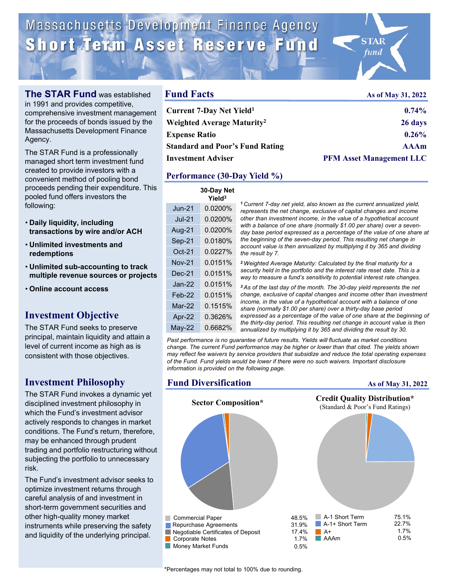Massachusetts Development Finance Agency Short Term Asset Reserve Fund

**Fund Facts**



**The STAR Fund** was established in 1991 and provides competitive, comprehensive investment management

for the proceeds of bonds issued by the Massachusetts Development Finance Agency.

The STAR Fund is a professionally managed short term investment fund created to provide investors with a convenient method of pooling bond proceeds pending their expenditure. This pooled fund offers investors the following:

- **Daily liquidity, including transactions by wire and/or ACH**
- **Unlimited investments and redemptions**
- **Unlimited sub-accounting to track multiple revenue sources or projects**
- **Online account access**

## **Investment Objective**

The STAR Fund seeks to preserve principal, maintain liquidity and attain a level of current income as high as is consistent with those objectives.

## **Investment Philosophy**

The STAR Fund invokes a dynamic yet disciplined investment philosophy in which the Fund's investment advisor actively responds to changes in market conditions. The Fund's return, therefore, may be enhanced through prudent trading and portfolio restructuring without subjecting the portfolio to unnecessary risk.

The Fund's investment advisor seeks to optimize investment returns through careful analysis of and investment in short-term government securities and other high-quality money market instruments while preserving the safety and liquidity of the underlying principal.

| <b>Fund Facts</b>                      | As of May 31, 2022              |  |
|----------------------------------------|---------------------------------|--|
| Current 7-Day Net Yield <sup>1</sup>   | $0.74\%$                        |  |
| Weighted Average Maturity <sup>2</sup> | 26 days                         |  |
| <b>Expense Ratio</b>                   | 0.26%                           |  |
| <b>Standard and Poor's Fund Rating</b> | <b>AAAm</b>                     |  |
| Investment Adviser                     | <b>PFM Asset Management LLC</b> |  |
|                                        |                                 |  |

## **Performance (30-Day Yield %)**

|               | 30-Day Net<br>Yield <sup>3</sup> |                                                                                                                                                                                                                                                                                                                                                                                                                                                                                                                                                                                                                                                                                                                                                                                |
|---------------|----------------------------------|--------------------------------------------------------------------------------------------------------------------------------------------------------------------------------------------------------------------------------------------------------------------------------------------------------------------------------------------------------------------------------------------------------------------------------------------------------------------------------------------------------------------------------------------------------------------------------------------------------------------------------------------------------------------------------------------------------------------------------------------------------------------------------|
| $Jun-21$      | 0.0200%                          | <sup>1</sup> Current 7-day net yield, also known as the current annualized yield,<br>represents the net change, exclusive of capital changes and income<br>other than investment income, in the value of a hypothetical account<br>with a balance of one share (normally \$1.00 per share) over a seven-<br>day base period expressed as a percentage of the value of one share at<br>the beginning of the seven-day period. This resulting net change in<br>account value is then annualized by multiplying it by 365 and dividing<br>the result by 7.                                                                                                                                                                                                                        |
| $Jul-21$      | 0.0200%                          |                                                                                                                                                                                                                                                                                                                                                                                                                                                                                                                                                                                                                                                                                                                                                                                |
| Aug-21        | 0.0200%                          |                                                                                                                                                                                                                                                                                                                                                                                                                                                                                                                                                                                                                                                                                                                                                                                |
| Sep-21        | 0.0180%                          |                                                                                                                                                                                                                                                                                                                                                                                                                                                                                                                                                                                                                                                                                                                                                                                |
| $Oct-21$      | 0.0227%                          |                                                                                                                                                                                                                                                                                                                                                                                                                                                                                                                                                                                                                                                                                                                                                                                |
| <b>Nov-21</b> | 0.0151%                          | <sup>2</sup> Weighted Average Maturity: Calculated by the final maturity for a<br>security held in the portfolio and the interest rate reset date. This is a<br>way to measure a fund's sensitivity to potential interest rate changes.<br><sup>3</sup> As of the last day of the month. The 30-day yield represents the net<br>change, exclusive of capital changes and income other than investment<br>income, in the value of a hypothetical account with a balance of one<br>share (normally \$1.00 per share) over a thirty-day base period<br>expressed as a percentage of the value of one share at the beginning of<br>the thirty-day period. This resulting net change in account value is then<br>annualized by multiplying it by 365 and dividing the result by 30. |
| $Dec-21$      | 0.0151%                          |                                                                                                                                                                                                                                                                                                                                                                                                                                                                                                                                                                                                                                                                                                                                                                                |
| $Jan-22$      | 0.0151%                          |                                                                                                                                                                                                                                                                                                                                                                                                                                                                                                                                                                                                                                                                                                                                                                                |
| $Feb-22$      | 0.0151%                          |                                                                                                                                                                                                                                                                                                                                                                                                                                                                                                                                                                                                                                                                                                                                                                                |
| $Mar-22$      | 0.1515%                          |                                                                                                                                                                                                                                                                                                                                                                                                                                                                                                                                                                                                                                                                                                                                                                                |
| Apr-22        | 0.3626%                          |                                                                                                                                                                                                                                                                                                                                                                                                                                                                                                                                                                                                                                                                                                                                                                                |
| $May-22$      | 0.6682%                          |                                                                                                                                                                                                                                                                                                                                                                                                                                                                                                                                                                                                                                                                                                                                                                                |

*Past performance is no guarantee of future results. Yields will fluctuate as market conditions change. The current Fund performance may be higher or lower than that cited. The yields shown may reflect fee waivers by service providers that subsidize and reduce the total operating expenses of the Fund. Fund yields would be lower if there were no such waivers. Important disclosure information is provided on the following page.*

## **Fund Diversification**

#### **As of May 31, 2022**



\*Percentages may not total to 100% due to rounding.